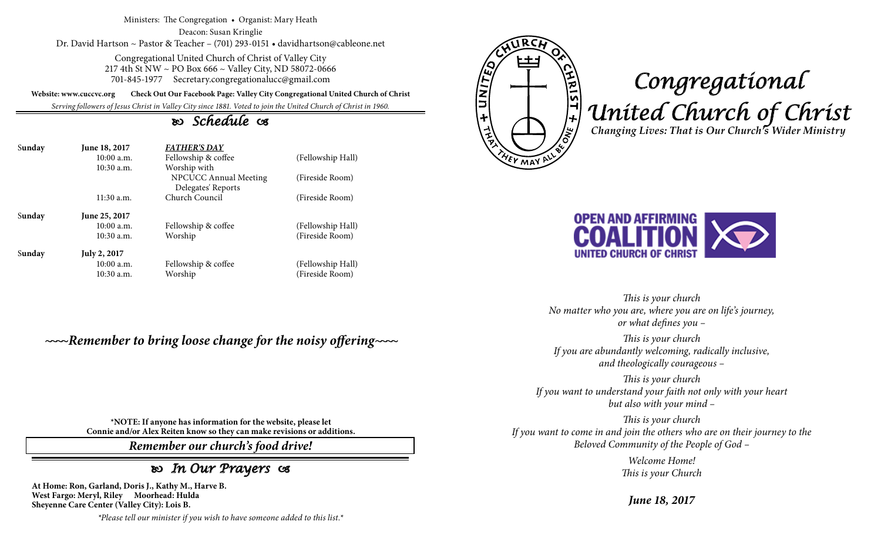Ministers: The Congregation • Organist: Mary Heath

Deacon: Susan Kringlie Dr. David Hartson ~ Pastor & Teacher – (701) 293-0151 • davidhartson@cableone.net

> Congregational United Church of Christ of Valley City 217 4th St NW ~ PO Box 666 ~ Valley City, ND 58072-0666 701-845-1977 Secretary.congregationalucc@gmail.com

**Website: www.cuccvc.org Check Out Our Facebook Page: Valley City Congregational United Church of Christ**

*Serving followers of Jesus Christ in Valley City since 1881. Voted to join the United Church of Christ in 1960.*

## *Schedule*

| Sunday | June 18, 2017<br>$10:00$ a.m.<br>$10:30$ a.m. | <b>FATHER'S DAY</b><br>Fellowship & coffee<br>Worship with | (Fellowship Hall) |
|--------|-----------------------------------------------|------------------------------------------------------------|-------------------|
|        |                                               | NPCUCC Annual Meeting<br>Delegates' Reports                | (Fireside Room)   |
|        | $11:30$ a.m.                                  | Church Council                                             | (Fireside Room)   |
| Sunday | June 25, 2017                                 |                                                            |                   |
|        | 10:00a.m.                                     | Fellowship & coffee                                        | (Fellowship Hall) |
|        | $10:30$ a.m.                                  | Worship                                                    | (Fireside Room)   |
| Sunday | <b>July 2, 2017</b>                           |                                                            |                   |
|        | 10:00 a.m.                                    | Fellowship & coffee                                        | (Fellowship Hall) |
|        | $10:30$ a.m.                                  | Worship                                                    | (Fireside Room)   |

*~~~~Remember to bring loose change for the noisy offering~~~~*

E UNITED <u>VIRIST + WO</u> **YEY MAY** 

## *Congregational United Church of Christ Changing Lives: That is Our Church's Wider Ministry*



*This is your church No matter who you are, where you are on life's journey, or what defines you –*

*This is your church If you are abundantly welcoming, radically inclusive, and theologically courageous –*

*This is your church If you want to understand your faith not only with your heart but also with your mind –*

*This is your church If you want to come in and join the others who are on their journey to the Beloved Community of the People of God –*

> *Welcome Home! This is your Church*

*June 18, 2017*

**\*NOTE: If anyone has information for the website, please let Connie and/or Alex Reiten know so they can make revisions or additions.**

*Remember our church's food drive!*

## *In Our Prayers*

**At Home: Ron, Garland, Doris J., Kathy M., Harve B. West Fargo: Meryl, Riley Moorhead: Hulda Sheyenne Care Center (Valley City): Lois B.**

*\*Please tell our minister if you wish to have someone added to this list.\**